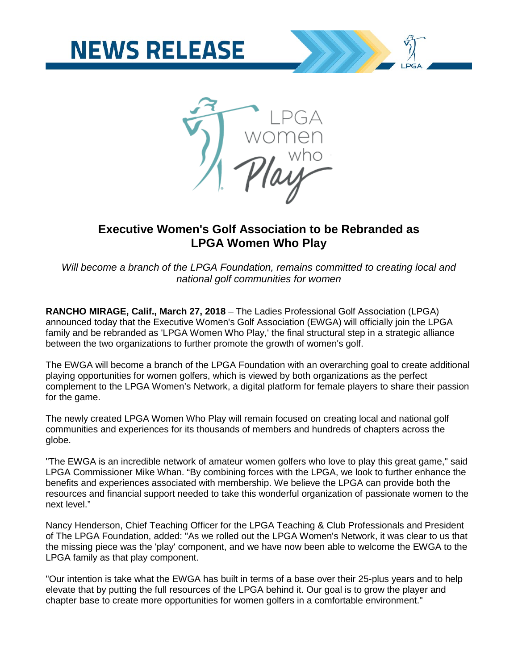



# **Executive Women's Golf Association to be Rebranded as LPGA Women Who Play**

*Will become a branch of the LPGA Foundation, remains committed to creating local and national golf communities for women*

**RANCHO MIRAGE, Calif., March 27, 2018** – The Ladies Professional Golf Association (LPGA) announced today that the Executive Women's Golf Association (EWGA) will officially join the LPGA family and be rebranded as 'LPGA Women Who Play,' the final structural step in a strategic alliance between the two organizations to further promote the growth of women's golf.

The EWGA will become a branch of the LPGA Foundation with an overarching goal to create additional playing opportunities for women golfers, which is viewed by both organizations as the perfect complement to the LPGA Women's Network, a digital platform for female players to share their passion for the game.

The newly created LPGA Women Who Play will remain focused on creating local and national golf communities and experiences for its thousands of members and hundreds of chapters across the globe.

"The EWGA is an incredible network of amateur women golfers who love to play this great game," said LPGA Commissioner Mike Whan. "By combining forces with the LPGA, we look to further enhance the benefits and experiences associated with membership. We believe the LPGA can provide both the resources and financial support needed to take this wonderful organization of passionate women to the next level."

Nancy Henderson, Chief Teaching Officer for the LPGA Teaching & Club Professionals and President of The LPGA Foundation, added: "As we rolled out the LPGA Women's Network, it was clear to us that the missing piece was the 'play' component, and we have now been able to welcome the EWGA to the LPGA family as that play component.

"Our intention is take what the EWGA has built in terms of a base over their 25-plus years and to help elevate that by putting the full resources of the LPGA behind it. Our goal is to grow the player and chapter base to create more opportunities for women golfers in a comfortable environment."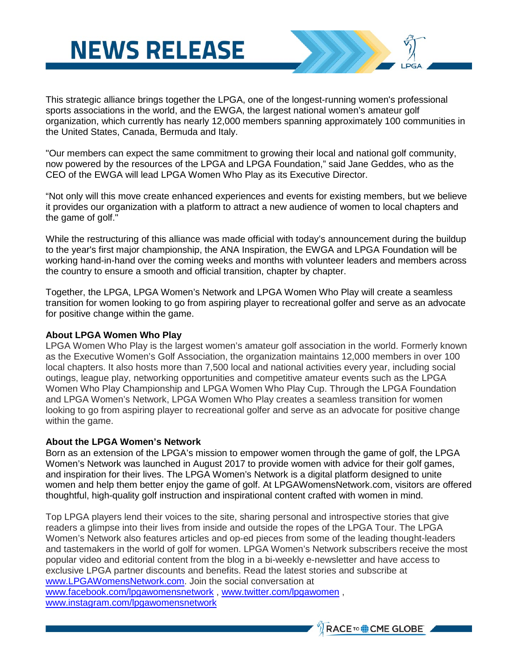# **NEWS RELEASE**

This strategic alliance brings together the LPGA, one of the longest-running women's professional sports associations in the world, and the EWGA, the largest national women's amateur golf organization, which currently has nearly 12,000 members spanning approximately 100 communities in the United States, Canada, Bermuda and Italy.

"Our members can expect the same commitment to growing their local and national golf community, now powered by the resources of the LPGA and LPGA Foundation," said Jane Geddes, who as the CEO of the EWGA will lead LPGA Women Who Play as its Executive Director.

"Not only will this move create enhanced experiences and events for existing members, but we believe it provides our organization with a platform to attract a new audience of women to local chapters and the game of golf."

While the restructuring of this alliance was made official with today's announcement during the buildup to the year's first major championship, the ANA Inspiration, the EWGA and LPGA Foundation will be working hand-in-hand over the coming weeks and months with volunteer leaders and members across the country to ensure a smooth and official transition, chapter by chapter.

Together, the LPGA, LPGA Women's Network and LPGA Women Who Play will create a seamless transition for women looking to go from aspiring player to recreational golfer and serve as an advocate for positive change within the game.

### **About LPGA Women Who Play**

LPGA Women Who Play is the largest women's amateur golf association in the world. Formerly known as the Executive Women's Golf Association, the organization maintains 12,000 members in over 100 local chapters. It also hosts more than 7,500 local and national activities every year, including social outings, league play, networking opportunities and competitive amateur events such as the LPGA Women Who Play Championship and LPGA Women Who Play Cup. Through the LPGA Foundation and LPGA Women's Network, LPGA Women Who Play creates a seamless transition for women looking to go from aspiring player to recreational golfer and serve as an advocate for positive change within the game.

#### **About the LPGA Women's Network**

Born as an extension of the LPGA's mission to empower women through the game of golf, the LPGA Women's Network was launched in August 2017 to provide women with advice for their golf games, and inspiration for their lives. The LPGA Women's Network is a digital platform designed to unite women and help them better enjoy the game of golf. At LPGAWomensNetwork.com, visitors are offered thoughtful, high-quality golf instruction and inspirational content crafted with women in mind.

Top LPGA players lend their voices to the site, sharing personal and introspective stories that give readers a glimpse into their lives from inside and outside the ropes of the LPGA Tour. The LPGA Women's Network also features articles and op-ed pieces from some of the leading thought-leaders and tastemakers in the world of golf for women. LPGA Women's Network subscribers receive the most popular video and editorial content from the blog in a bi-weekly e-newsletter and have access to exclusive LPGA partner discounts and benefits. Read the latest stories and subscribe at [www.LPGAWomensNetwork.com.](http://www.lpgawomensnetwork.com/) Join the social conversation at [www.facebook.com/lpgawomensnetwork](http://www.facebook.com/lpgawomensnetwork) , [www.twitter.com/lpgawomen](http://www.twitter.com/lpgawomen) , [www.instagram.com/lpgawomensnetwork](http://www.instagram.com/lpgawomensnetwork)